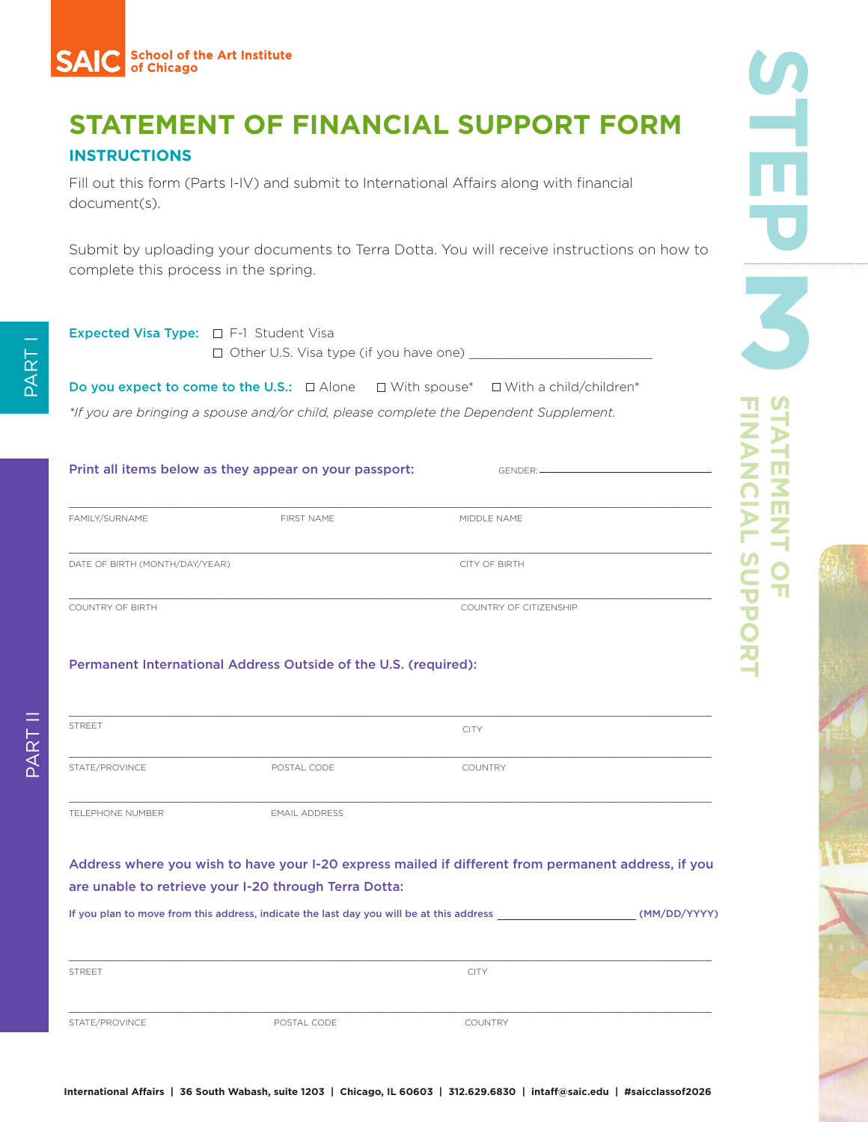# **STATEMENT OF FINANCIAL SUPPORT FORM**

### **INSTRUCTIONS**

Fill out this form (Parts I-IV) and submit to International Affairs along with financial document(s).

Submit by uploading your documents to Terra Dotta. You will receive instructions on how to complete this process in the spring.

| <b>Expected Visa Type:</b> $\Box$ F-1 Student Visa | □ Other U.S. Visa type (if you have one)                                                                 |                        |  |
|----------------------------------------------------|----------------------------------------------------------------------------------------------------------|------------------------|--|
|                                                    | <b>Do you expect to come to the U.S.:</b> $\Box$ Alone $\Box$ With spouse* $\Box$ With a child/children* |                        |  |
|                                                    | *If you are bringing a spouse and/or child, please complete the Dependent Supplement.                    |                        |  |
|                                                    | Print all items below as they appear on your passport:                                                   | GENDER: 2004           |  |
| FAMILY/SURNAME                                     | FIRST NAME                                                                                               | MIDDLE NAME            |  |
| DATE OF BIRTH (MONTH/DAY/YEAR)                     |                                                                                                          | <b>CITY OF BIRTH</b>   |  |
| <b>COUNTRY OF BIRTH</b>                            |                                                                                                          | COUNTRY OF CITIZENSHIP |  |
|                                                    | Permanent International Address Outside of the U.S. (required):                                          |                        |  |
| <b>STREET</b>                                      |                                                                                                          | <b>CITY</b>            |  |
| STATE/PROVINCE                                     | POSTAL CODE                                                                                              | <b>COUNTRY</b>         |  |
| <b>TELEPHONE NUMBER</b>                            | <b>EMAIL ADDRESS</b>                                                                                     |                        |  |

Address where you wish to have your I-20 express mailed if different from permanent address, if you are unable to retrieve your I-20 through Terra Dotta:

If you plan to move from this address, indicate the last day you will be at this address (MM/DD/YYYY)

| <b>STREET</b>  |             | <b>CITY</b>    |
|----------------|-------------|----------------|
|                |             |                |
|                |             |                |
| STATE/PROVINCE | POSTAL CODE | <b>COUNTRY</b> |

PART I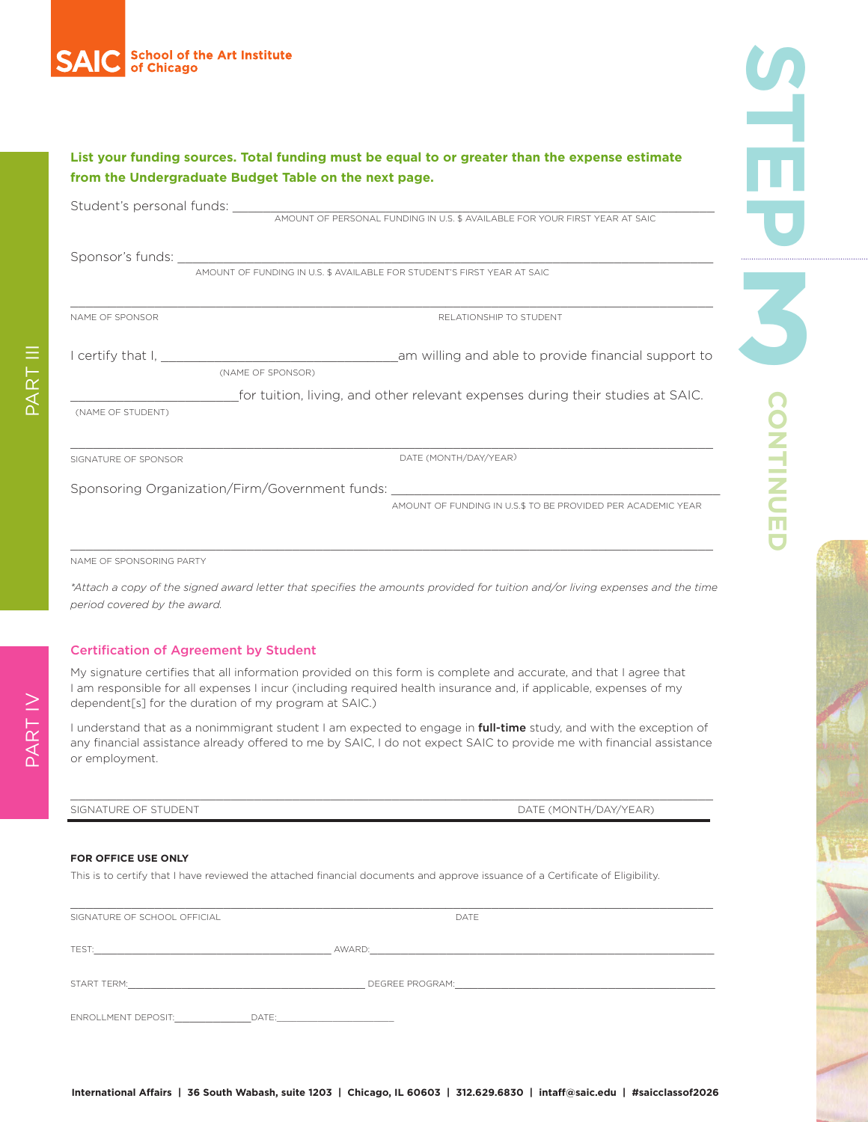

| List your funding sources. Total funding must be equal to or greater than the expense estimate<br>from the Undergraduate Budget Table on the next page. |                                                                                |  |  |  |
|---------------------------------------------------------------------------------------------------------------------------------------------------------|--------------------------------------------------------------------------------|--|--|--|
|                                                                                                                                                         |                                                                                |  |  |  |
|                                                                                                                                                         |                                                                                |  |  |  |
| NAME OF SPONSOR                                                                                                                                         | RELATIONSHIP TO STUDENT                                                        |  |  |  |
| (NAME OF SPONSOR)                                                                                                                                       |                                                                                |  |  |  |
| (NAME OF STUDENT)                                                                                                                                       | for tuition, living, and other relevant expenses during their studies at SAIC. |  |  |  |
| SIGNATURE OF SPONSOR                                                                                                                                    | DATE (MONTH/DAY/YEAR)                                                          |  |  |  |
| Sponsoring Organization/Firm/Government funds: __________________________________                                                                       | AMOUNT OF FUNDING IN U.S.\$ TO BE PROVIDED PER ACADEMIC YEAR                   |  |  |  |

NAME OF SPONSORING PARTY

*\*Attach a copy of the signed award letter that specifies the amounts provided for tuition and/or living expenses and the time period covered by the award.*

#### Certification of Agreement by Student

My signature certifies that all information provided on this form is complete and accurate, and that I agree that I am responsible for all expenses I incur (including required health insurance and, if applicable, expenses of my dependent[s] for the duration of my program at SAIC.)

I understand that as a nonimmigrant student I am expected to engage in full-time study, and with the exception of any financial assistance already offered to me by SAIC, I do not expect SAIC to provide me with financial assistance or employment.

 $\mathcal{L}_\mathcal{L} = \{ \mathcal{L}_\mathcal{L} = \{ \mathcal{L}_\mathcal{L} = \{ \mathcal{L}_\mathcal{L} = \{ \mathcal{L}_\mathcal{L} = \{ \mathcal{L}_\mathcal{L} = \{ \mathcal{L}_\mathcal{L} = \{ \mathcal{L}_\mathcal{L} = \{ \mathcal{L}_\mathcal{L} = \{ \mathcal{L}_\mathcal{L} = \{ \mathcal{L}_\mathcal{L} = \{ \mathcal{L}_\mathcal{L} = \{ \mathcal{L}_\mathcal{L} = \{ \mathcal{L}_\mathcal{L} = \{ \mathcal{L}_\mathcal{$ 

SIGNATURE OF STUDENT THE STUDENT SERVICE OF STUDENT AND RESERVED ON THE CONTHANGE OF STUDENT AND RESERVED ON THE CONTROL OF STUDENT AND RESERVED ON THE CONTROL OF STUDENT AND RESERVED ON THE CONTROL OF STUDENT AND RESERVED

#### **FOR OFFICE USE ONLY**

This is to certify that I have reviewed the attached financial documents and approve issuance of a Certificate of Eligibility.

| SIGNATURE OF SCHOOL OFFICIAL |       | DATE            |
|------------------------------|-------|-----------------|
| TEST:                        |       | AWARD:          |
| START TERM:                  |       | DEGREE PROGRAM: |
| <b>ENROLLMENT DEPOSIT:</b>   | DATE: |                 |